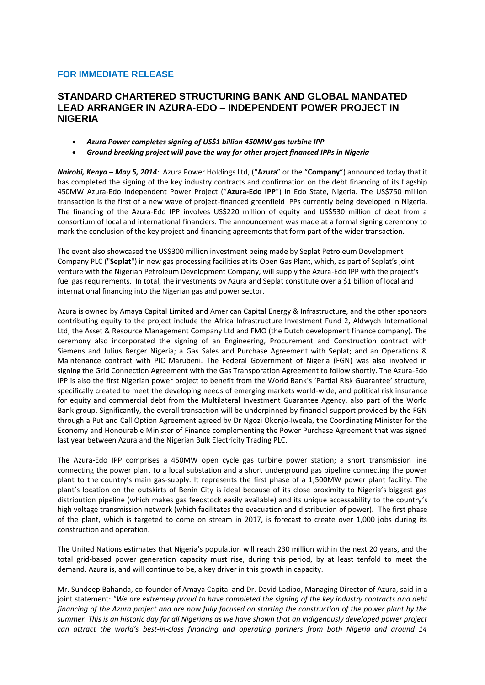# **FOR IMMEDIATE RELEASE**

# **STANDARD CHARTERED STRUCTURING BANK AND GLOBAL MANDATED LEAD ARRANGER IN AZURA-EDO – INDEPENDENT POWER PROJECT IN NIGERIA**

- *Azura Power completes signing of US\$1 billion 450MW gas turbine IPP*
- *Ground breaking project will pave the way for other project financed IPPs in Nigeria*

*Nairobi, Kenya – May 5, 2014*: Azura Power Holdings Ltd, ("**Azura**" or the "**Company**") announced today that it has completed the signing of the key industry contracts and confirmation on the debt financing of its flagship 450MW Azura-Edo Independent Power Project ("**Azura-Edo IPP**") in Edo State, Nigeria. The US\$750 million transaction is the first of a new wave of project-financed greenfield IPPs currently being developed in Nigeria. The financing of the Azura-Edo IPP involves US\$220 million of equity and US\$530 million of debt from a consortium of local and international financiers. The announcement was made at a formal signing ceremony to mark the conclusion of the key project and financing agreements that form part of the wider transaction.

The event also showcased the US\$300 million investment being made by Seplat Petroleum Development Company PLC ("**Seplat**") in new gas processing facilities at its Oben Gas Plant, which, as part of Seplat's joint venture with the Nigerian Petroleum Development Company, will supply the Azura-Edo IPP with the project's fuel gas requirements. In total, the investments by Azura and Seplat constitute over a \$1 billion of local and international financing into the Nigerian gas and power sector.

Azura is owned by Amaya Capital Limited and American Capital Energy & Infrastructure, and the other sponsors contributing equity to the project include the Africa Infrastructure Investment Fund 2, Aldwych International Ltd, the Asset & Resource Management Company Ltd and FMO (the Dutch development finance company). The ceremony also incorporated the signing of an Engineering, Procurement and Construction contract with Siemens and Julius Berger Nigeria; a Gas Sales and Purchase Agreement with Seplat; and an Operations & Maintenance contract with PIC Marubeni. The Federal Government of Nigeria (FGN) was also involved in signing the Grid Connection Agreement with the Gas Transporation Agreement to follow shortly. The Azura-Edo IPP is also the first Nigerian power project to benefit from the World Bank's 'Partial Risk Guarantee' structure, specifically created to meet the developing needs of emerging markets world-wide, and political risk insurance for equity and commercial debt from the Multilateral Investment Guarantee Agency, also part of the World Bank group. Significantly, the overall transaction will be underpinned by financial support provided by the FGN through a Put and Call Option Agreement agreed by Dr Ngozi Okonjo-Iweala, the Coordinating Minister for the Economy and Honourable Minister of Finance complementing the Power Purchase Agreement that was signed last year between Azura and the Nigerian Bulk Electricity Trading PLC.

The Azura-Edo IPP comprises a 450MW open cycle gas turbine power station; a short transmission line connecting the power plant to a local substation and a short underground gas pipeline connecting the power plant to the country's main gas-supply. It represents the first phase of a 1,500MW power plant facility. The plant's location on the outskirts of Benin City is ideal because of its close proximity to Nigeria's biggest gas distribution pipeline (which makes gas feedstock easily available) and its unique accessability to the country's high voltage transmission network (which facilitates the evacuation and distribution of power). The first phase of the plant, which is targeted to come on stream in 2017, is forecast to create over 1,000 jobs during its construction and operation.

The United Nations estimates that Nigeria's population will reach 230 million within the next 20 years, and the total grid-based power generation capacity must rise, during this period, by at least tenfold to meet the demand. Azura is, and will continue to be, a key driver in this growth in capacity.

Mr. Sundeep Bahanda, co-founder of Amaya Capital and Dr. David Ladipo, Managing Director of Azura, said in a joint statement: *"We are extremely proud to have completed the signing of the key industry contracts and debt financing of the Azura project and are now fully focused on starting the construction of the power plant by the summer. This is an historic day for all Nigerians as we have shown that an indigenously developed power project can attract the world's best-in-class financing and operating partners from both Nigeria and around 14*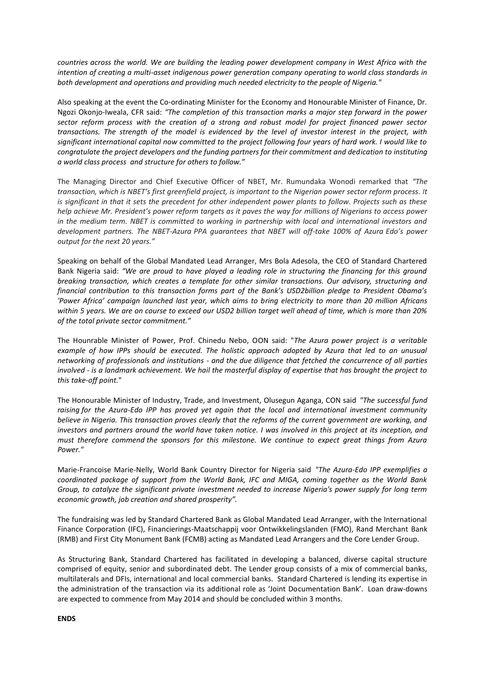*countries across the world. We are building the leading power development company in West Africa with the intention of creating a multi-asset indigenous power generation company operating to world class standards in both development and operations and providing much needed electricity to the people of Nigeria."*

Also speaking at the event the Co-ordinating Minister for the Economy and Honourable Minister of Finance, Dr. Ngozi Okonjo-Iweala, CFR said: *"The completion of this transaction marks a major step forward in the power sector reform process with the creation of a strong and robust model for project financed power sector transactions. The strength of the model is evidenced by the level of investor interest in the project, with significant international capital now committed to the project following four years of hard work. I would like to congratulate the project developers and the funding partners for their commitment and dedication to instituting a world class process and structure for others to follow."*

The Managing Director and Chief Executive Officer of NBET, Mr. Rumundaka Wonodi remarked that *"The transaction, which is NBET's first greenfield project, is important to the Nigerian power sector reform process. It is significant in that it sets the precedent for other independent power plants to follow. Projects such as these help achieve Mr. President's power reform targets as it paves the way for millions of Nigerians to access power in the medium term. NBET is committed to working in partnership with local and international investors and development partners. The NBET-Azura PPA guarantees that NBET will off-take 100% of Azura Edo's power output for the next 20 years."*

Speaking on behalf of the Global Mandated Lead Arranger, Mrs Bola Adesola, the CEO of Standard Chartered Bank Nigeria said: *"We are proud to have played a leading role in structuring the financing for this ground breaking transaction, which creates a template for other similar transactions. Our advisory, structuring and financial contribution to this transaction forms part of the Bank's USD2billion pledge to President Obama's 'Power Africa' campaign launched last year, which aims to bring electricity to more than 20 million Africans within 5 years. We are on course to exceed our USD2 billion target well ahead of time, which is more than 20% of the total private sector commitment."*

The Hounrable Minister of Power, Prof. Chinedu Nebo, OON said: "*The Azura power project is a veritable example of how IPPs should be executed. The holistic approach adopted by Azura that led to an unusual networking of professionals and institutions - and the due diligence that fetched the concurrence of all parties involved - is a landmark achievement. We hail the masterful display of expertise that has brought the project to this take-off point.*"

The Honourable Minister of Industry, Trade, and Investment, Olusegun Aganga, CON said *"The successful fund raising for the Azura-Edo IPP has proved yet again that the local and international investment community believe in Nigeria. This transaction proves clearly that the reforms of the current government are working, and investors and partners around the world have taken notice. I was involved in this project at its inception, and must therefore commend the sponsors for this milestone. We continue to expect great things from Azura Power."*

Marie-Francoise Marie-Nelly, World Bank Country Director for Nigeria said *"The Azura-Edo IPP exemplifies a coordinated package of support from the World Bank, IFC and MIGA, coming together as the World Bank Group, to catalyze the significant private investment needed to increase Nigeria's power supply for long term economic growth, job creation and shared prosperity".*

The fundraising was led by Standard Chartered Bank as Global Mandated Lead Arranger, with the International Finance Corporation (IFC), Financierings-Maatschappij voor Ontwikkelingslanden (FMO), Rand Merchant Bank (RMB) and First City Monument Bank (FCMB) acting as Mandated Lead Arrangers and the Core Lender Group.

As Structuring Bank, Standard Chartered has facilitated in developing a balanced, diverse capital structure comprised of equity, senior and subordinated debt. The Lender group consists of a mix of commercial banks, multilaterals and DFIs, international and local commercial banks. Standard Chartered is lending its expertise in the administration of the transaction via its additional role as 'Joint Documentation Bank'. Loan draw-downs are expected to commence from May 2014 and should be concluded within 3 months.

**ENDS**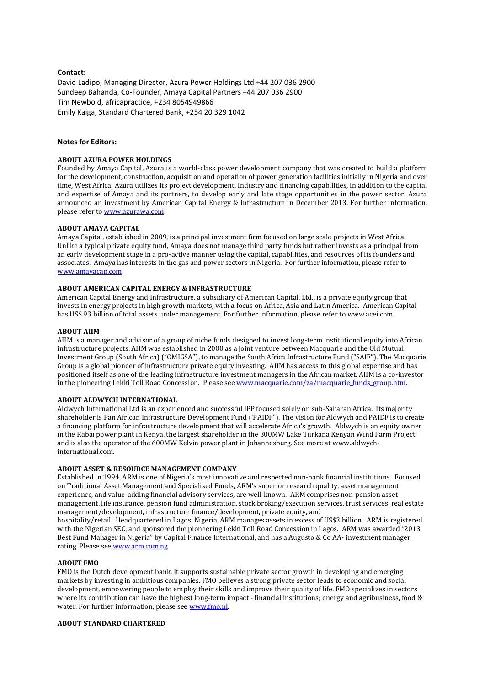## **Contact:**

David Ladipo, Managing Director, Azura Power Holdings Ltd +44 207 036 2900 Sundeep Bahanda, Co-Founder, Amaya Capital Partners +44 207 036 2900 Tim Newbold, africapractice, +234 8054949866 Emily Kaiga, Standard Chartered Bank, +254 20 329 1042

# **Notes for Editors:**

#### **ABOUT AZURA POWER HOLDINGS**

Founded by Amaya Capital, Azura is a world-class power development company that was created to build a platform for the development, construction, acquisition and operation of power generation facilities initially in Nigeria and over time, West Africa. Azura utilizes its project development, industry and financing capabilities, in addition to the capital and expertise of Amaya and its partners, to develop early and late stage opportunities in the power sector. Azura announced an investment by American Capital Energy & Infrastructure in December 2013. For further information, please refer to [www.azurawa.com.](http://www.azurawa.com/) 

### **ABOUT AMAYA CAPITAL**

Amaya Capital, established in 2009, is a principal investment firm focused on large scale projects in West Africa. Unlike a typical private equity fund, Amaya does not manage third party funds but rather invests as a principal from an early development stage in a pro-active manner using the capital, capabilities, and resources of its founders and associates. Amaya has interests in the gas and power sectors in Nigeria. For further information, please refer to [www.amayacap.com.](http://www.amayacap.com/) 

## **ABOUT AMERICAN CAPITAL ENERGY & INFRASTRUCTURE**

American Capital Energy and Infrastructure, a subsidiary of American Capital, Ltd., is a private equity group that invests in energy projects in high growth markets, with a focus on Africa, Asia and Latin America. American Capital has US\$ 93 billion of total assets under management. For further information, please refer t[o www.acei.com.](http://www.acei.com/)

#### **ABOUT AIIM**

AIIM is a manager and advisor of a group of niche funds designed to invest long-term institutional equity into African infrastructure projects. AIIM was established in 2000 as a joint venture between Macquarie and the Old Mutual Investment Group (South Africa) ("OMIGSA"), to manage the South Africa Infrastructure Fund ("SAIF"). The Macquarie Group is a global pioneer of infrastructure private equity investing. AIIM has access to this global expertise and has positioned itself as one of the leading infrastructure investment managers in the African market. AIIM is a co-investor in the pioneering Lekki Toll Road Concession. Please see www.macquarie.com/za/macquarie funds group.htm.

#### **ABOUT ALDWYCH INTERNATIONAL**

Aldwych International Ltd is an experienced and successful IPP focused solely on sub-Saharan Africa. Its majority shareholder is Pan African Infrastructure Development Fund ('PAIDF"). The vision for Aldwych and PAIDF is to create a financing platform for infrastructure development that will accelerate Africa's growth. Aldwych is an equity owner in the Rabai power plant in Kenya, the largest shareholder in the 300MW Lake Turkana Kenyan Wind Farm Project and is also the operator of the 600MW Kelvin power plant in Johannesburg. See more at [www.aldwych](http://www.aldwych-international.com/)[international.com.](http://www.aldwych-international.com/)

# **ABOUT ASSET & RESOURCE MANAGEMENT COMPANY**

Established in 1994, ARM is one of Nigeria's most innovative and respected non-bank financial institutions. Focused on Traditional Asset Management and Specialised Funds, ARM's superior research quality, asset management experience, and value-adding financial advisory services, are well-known. ARM comprises non-pension asset management, life insurance, pension fund administration, stock broking/execution services, trust services, real estate management/development, infrastructure finance/development, private equity, and

hospitality/retail. Headquartered in Lagos, Nigeria, ARM manages assets in excess of US\$3 billion. ARM is registered with the Nigerian SEC, and sponsored the pioneering Lekki Toll Road Concession in Lagos. ARM was awarded "2013 Best Fund Manager in Nigeria" by Capital Finance International, and has a Augusto & Co AA- investment manager rating. Please se[e www.arm.com.ng](http://www.arm.com.ng/)

#### **ABOUT FMO**

FMO is the Dutch development bank. It supports sustainable private sector growth in developing and emerging markets by investing in ambitious companies. FMO believes a strong private sector leads to economic and social development, empowering people to employ their skills and improve their quality of life. FMO specializes in sectors where its contribution can have the highest long-term impact - financial institutions; energy and agribusiness, food & water. For further information, please se[e www.fmo.nl.](http://www.fmo.nl/)

#### **ABOUT STANDARD CHARTERED**